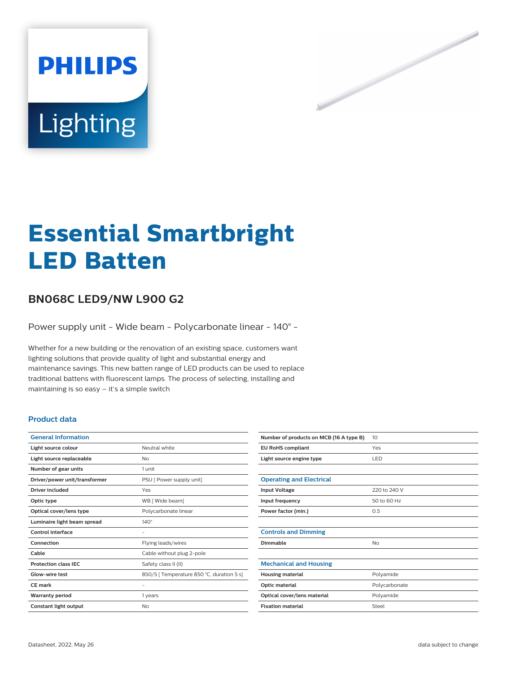

# **Essential Smartbright LED Batten**

# **BN068C LED9/NW L900 G2**

Power supply unit - Wide beam - Polycarbonate linear - 140° -

Whether for a new building or the renovation of an existing space, customers want lighting solutions that provide quality of light and substantial energy and maintenance savings. This new batten range of LED products can be used to replace traditional battens with fluorescent lamps. The process of selecting, installing and maintaining is so easy – it's a simple switch

### **Product data**

| <b>General Information</b>    |                                           |
|-------------------------------|-------------------------------------------|
| Light source colour           | Neutral white                             |
| Light source replaceable      | No                                        |
| Number of gear units          | 1 unit                                    |
| Driver/power unit/transformer | PSU [ Power supply unit]                  |
| Driver included               | Yes                                       |
| Optic type                    | WB [ Wide beam]                           |
| Optical cover/lens type       | Polycarbonate linear                      |
| Luminaire light beam spread   | $140^\circ$                               |
| Control interface             |                                           |
| Connection                    | Flying leads/wires                        |
| Cable                         | Cable without plug 2-pole                 |
| <b>Protection class IEC</b>   | Safety class II (II)                      |
| Glow-wire test                | 850/5   Temperature 850 °C, duration 5 s] |
| <b>CE</b> mark                |                                           |
| <b>Warranty period</b>        | 1 years                                   |
| Constant light output         | No                                        |

| Number of products on MCB (16 A type B) | 10            |
|-----------------------------------------|---------------|
| <b>EU RoHS compliant</b>                | Yes           |
| Light source engine type                | LED           |
|                                         |               |
| <b>Operating and Electrical</b>         |               |
| <b>Input Voltage</b>                    | 220 to 240 V  |
| Input frequency                         | 50 to 60 Hz   |
| Power factor (min.)                     | 0.5           |
|                                         |               |
| <b>Controls and Dimming</b>             |               |
| Dimmable                                | No            |
|                                         |               |
| <b>Mechanical and Housing</b>           |               |
| <b>Housing material</b>                 | Polyamide     |
| Optic material                          | Polycarbonate |
| Optical cover/lens material             | Polyamide     |
| <b>Fixation material</b>                | Steel         |
|                                         |               |